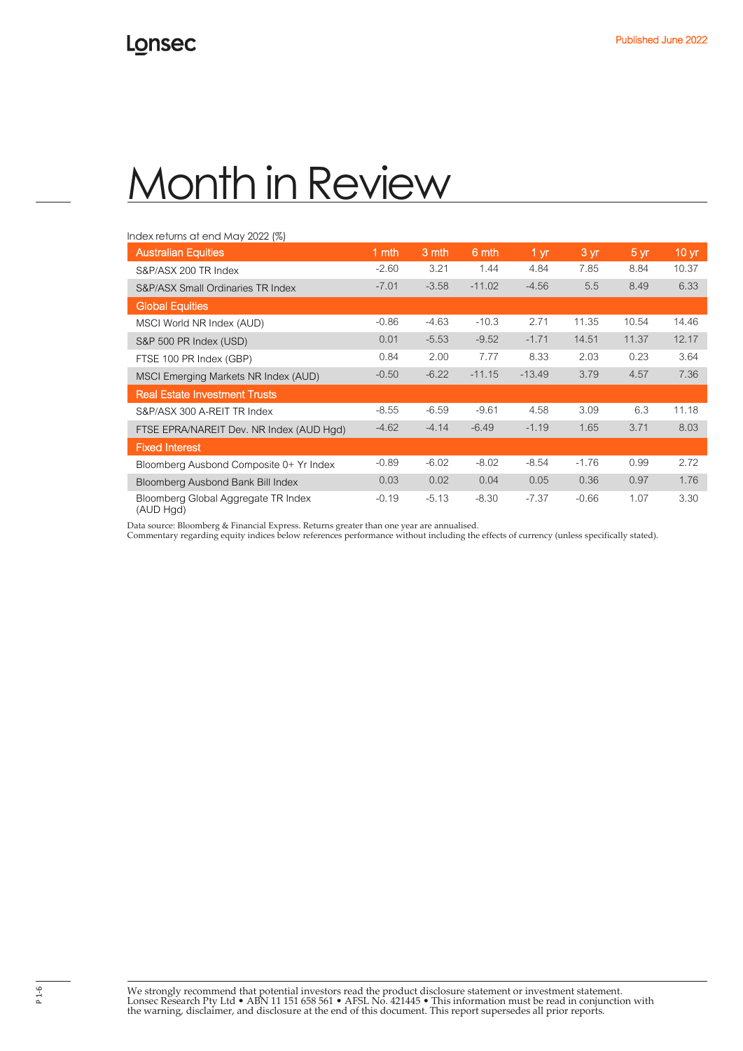### Index returns at end May 2022 (%)

| <b>Australian Equities</b>                       | 1 mth   | 3 mth   | 6 mth    | 1 <sub>yr</sub> | 3 yr    | $5 \text{ yr}$ | 10 <sub>yr</sub> |
|--------------------------------------------------|---------|---------|----------|-----------------|---------|----------------|------------------|
| S&P/ASX 200 TR Index                             | $-2.60$ | 3.21    | 1.44     | 4.84            | 7.85    | 8.84           | 10.37            |
| S&P/ASX Small Ordinaries TR Index                | $-7.01$ | $-3.58$ | $-11.02$ | $-4.56$         | 5.5     | 8.49           | 6.33             |
| <b>Global Equities</b>                           |         |         |          |                 |         |                |                  |
| MSCI World NR Index (AUD)                        | $-0.86$ | $-4.63$ | $-10.3$  | 2.71            | 11.35   | 10.54          | 14.46            |
| S&P 500 PR Index (USD)                           | 0.01    | $-5.53$ | $-9.52$  | $-1.71$         | 14.51   | 11.37          | 12.17            |
| FTSE 100 PR Index (GBP)                          | 0.84    | 2.00    | 7.77     | 8.33            | 2.03    | 0.23           | 3.64             |
| MSCI Emerging Markets NR Index (AUD)             | $-0.50$ | $-6.22$ | $-11.15$ | $-13.49$        | 3.79    | 4.57           | 7.36             |
| <b>Real Estate Investment Trusts</b>             |         |         |          |                 |         |                |                  |
| S&P/ASX 300 A-REIT TR Index                      | $-8.55$ | $-6.59$ | $-9.61$  | 4.58            | 3.09    | 6.3            | 11.18            |
| FTSE EPRA/NAREIT Dev. NR Index (AUD Hgd)         | $-4.62$ | $-4.14$ | $-6.49$  | $-1.19$         | 1.65    | 3.71           | 8.03             |
| <b>Fixed Interest</b>                            |         |         |          |                 |         |                |                  |
| Bloomberg Ausbond Composite 0+ Yr Index          | $-0.89$ | $-6.02$ | $-8.02$  | $-8.54$         | $-1.76$ | 0.99           | 2.72             |
| Bloomberg Ausbond Bank Bill Index                | 0.03    | 0.02    | 0.04     | 0.05            | 0.36    | 0.97           | 1.76             |
| Bloomberg Global Aggregate TR Index<br>(AUD Hgd) | $-0.19$ | $-5.13$ | $-8.30$  | $-7.37$         | $-0.66$ | 1.07           | 3.30             |

Data source: Bloomberg & Financial Express. Returns greater than one year are annualised.

Commentary regarding equity indices below references performance without including the effects of currency (unless specifically stated).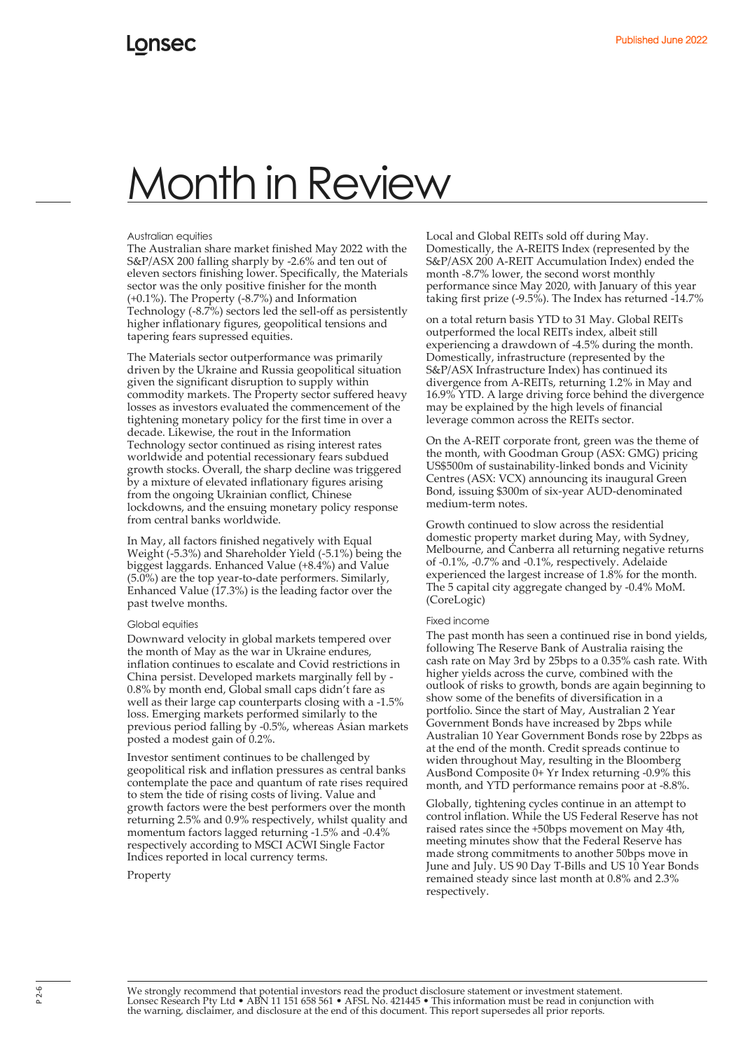### Australian equities

The Australian share market finished May 2022 with the S&P/ASX 200 falling sharply by -2.6% and ten out of eleven sectors finishing lower. Specifically, the Materials sector was the only positive finisher for the month (+0.1%). The Property (-8.7%) and Information Technology (-8.7%) sectors led the sell-off as persistently higher inflationary figures, geopolitical tensions and tapering fears supressed equities.

The Materials sector outperformance was primarily driven by the Ukraine and Russia geopolitical situation given the significant disruption to supply within commodity markets. The Property sector suffered heavy losses as investors evaluated the commencement of the tightening monetary policy for the first time in over a decade. Likewise, the rout in the Information Technology sector continued as rising interest rates worldwide and potential recessionary fears subdued growth stocks. Overall, the sharp decline was triggered by a mixture of elevated inflationary figures arising from the ongoing Ukrainian conflict, Chinese lockdowns, and the ensuing monetary policy response from central banks worldwide.

In May, all factors finished negatively with Equal Weight (-5.3%) and Shareholder Yield (-5.1%) being the biggest laggards. Enhanced Value (+8.4%) and Value (5.0%) are the top year-to-date performers. Similarly, Enhanced Value (17.3%) is the leading factor over the past twelve months.

#### Global equities

Downward velocity in global markets tempered over the month of May as the war in Ukraine endures, inflation continues to escalate and Covid restrictions in China persist. Developed markets marginally fell by - 0.8% by month end, Global small caps didn't fare as well as their large cap counterparts closing with a -1.5% loss. Emerging markets performed similarly to the previous period falling by -0.5%, whereas Asian markets posted a modest gain of 0.2%.

Investor sentiment continues to be challenged by geopolitical risk and inflation pressures as central banks contemplate the pace and quantum of rate rises required to stem the tide of rising costs of living. Value and growth factors were the best performers over the month returning 2.5% and 0.9% respectively, whilst quality and momentum factors lagged returning -1.5% and -0.4% respectively according to MSCI ACWI Single Factor Indices reported in local currency terms.

Property

Local and Global REITs sold off during May. Domestically, the A-REITS Index (represented by the S&P/ASX 200 A-REIT Accumulation Index) ended the month -8.7% lower, the second worst monthly performance since May 2020, with January of this year taking first prize (-9.5%). The Index has returned -14.7%

on a total return basis YTD to 31 May. Global REITs outperformed the local REITs index, albeit still experiencing a drawdown of -4.5% during the month. Domestically, infrastructure (represented by the S&P/ASX Infrastructure Index) has continued its divergence from A-REITs, returning 1.2% in May and 16.9% YTD. A large driving force behind the divergence may be explained by the high levels of financial leverage common across the REITs sector.

On the A-REIT corporate front, green was the theme of the month, with Goodman Group (ASX: GMG) pricing US\$500m of sustainability-linked bonds and Vicinity Centres (ASX: VCX) announcing its inaugural Green Bond, issuing \$300m of six-year AUD-denominated medium-term notes.

Growth continued to slow across the residential domestic property market during May, with Sydney, Melbourne, and Canberra all returning negative returns of -0.1%, -0.7% and -0.1%, respectively. Adelaide experienced the largest increase of 1.8% for the month. The 5 capital city aggregate changed by -0.4% MoM. (CoreLogic)

#### Fixed income

The past month has seen a continued rise in bond yields, following The Reserve Bank of Australia raising the cash rate on May 3rd by 25bps to a 0.35% cash rate. With higher yields across the curve, combined with the outlook of risks to growth, bonds are again beginning to show some of the benefits of diversification in a portfolio. Since the start of May, Australian 2 Year Government Bonds have increased by 2bps while Australian 10 Year Government Bonds rose by 22bps as at the end of the month. Credit spreads continue to widen throughout May, resulting in the Bloomberg AusBond Composite 0+ Yr Index returning -0.9% this month, and YTD performance remains poor at -8.8%.

Globally, tightening cycles continue in an attempt to control inflation. While the US Federal Reserve has not raised rates since the +50bps movement on May 4th, meeting minutes show that the Federal Reserve has made strong commitments to another 50bps move in June and July. US 90 Day T-Bills and US 10 Year Bonds remained steady since last month at 0.8% and 2.3% respectively.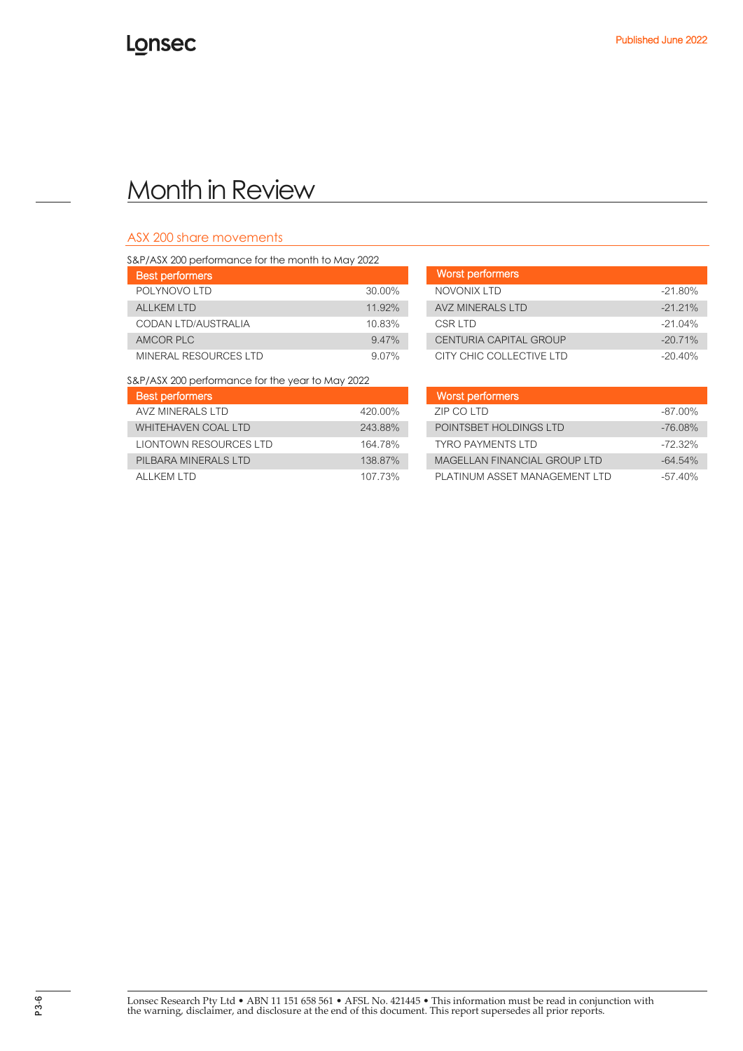## ASX 200 share movements

| S&P/ASX 200 performance for the month to May 2022 |          |                        |
|---------------------------------------------------|----------|------------------------|
| <b>Best performers</b>                            |          | Worst performers       |
| POLYNOVO LTD                                      | 30.00%   | NOVONIX LTD            |
| ALL KEM LTD                                       | 11.92%   | <b>AVZ MINERALS LT</b> |
| CODAN LTD/AUSTRALIA                               | 10.83%   | CSR I TD               |
| AMCOR PLC                                         | 9.47%    | <b>CENTURIA CAPITA</b> |
| MINERAL RESOURCES LTD                             | $9.07\%$ | CITY CHIC COLLEO       |

| . THE FIGHT IS THE FIGHT OF THE THREED IN THE PART OF THE FIGHT IS A PARTY OF THE THREED OF THE TH |          |                               |            |  |
|----------------------------------------------------------------------------------------------------|----------|-------------------------------|------------|--|
| <b>Best performers</b>                                                                             |          | Worst performers              |            |  |
| POLYNOVO LTD                                                                                       | 30.00%   | NOVONIX I TD                  | $-21.80%$  |  |
| AI I KFM I TD                                                                                      | 11.92%   | AVZ MINERALS LTD              | $-21.21\%$ |  |
| CODAN LTD/AUSTRALIA                                                                                | 10.83%   | CSR LTD                       | $-21.04\%$ |  |
| AMCOR PLC                                                                                          | 9.47%    | <b>CENTURIA CAPITAL GROUP</b> | $-20.71%$  |  |
| MINERAL RESOURCES LTD                                                                              | $9.07\%$ | CITY CHIC COLLECTIVE LTD      | $-20.40%$  |  |

S&P/ASX 200 performance for the year to May 2022

| <b>Best performers</b>        |         | Worst performers              |           |
|-------------------------------|---------|-------------------------------|-----------|
| AVZ MINERALS LTD              | 420.00% | ZIP CO LTD                    | $-87.00%$ |
| WHITEHAVEN COAL LTD           | 243.88% | POINTSBET HOLDINGS LTD        | $-76.08%$ |
| <b>LIONTOWN RESOURCES LTD</b> | 164 78% | <b>TYRO PAYMENTS LTD</b>      | $-72.32%$ |
| PILBARA MINERALS LTD          | 138.87% | MAGELLAN FINANCIAL GROUP LTD  | $-64.54%$ |
| ALL KEM LTD                   | 107 73% | PLATINUM ASSET MANAGEMENT LTD | $-57.40%$ |

| <b>Best performers</b>  |         | Worst performers              |            |
|-------------------------|---------|-------------------------------|------------|
| AVZ MINFRAI S I TD-     | 420.00% | ZIP CO LTD                    | $-87.00\%$ |
| WHITEHAVEN COAL LTD     | 243.88% | POINTSBET HOLDINGS LTD        | $-76.08\%$ |
| LIONTOWN RESOURCES LTD  | 164.78% | <b>TYRO PAYMENTS LTD</b>      | $-72.32\%$ |
| PII BARA MINFRAI S I TD | 138.87% | MAGELLAN FINANCIAL GROUP LTD  | $-64.54\%$ |
| AI I KFM I TD.          | 107.73% | PLATINUM ASSET MANAGEMENT LTD | $-57.40%$  |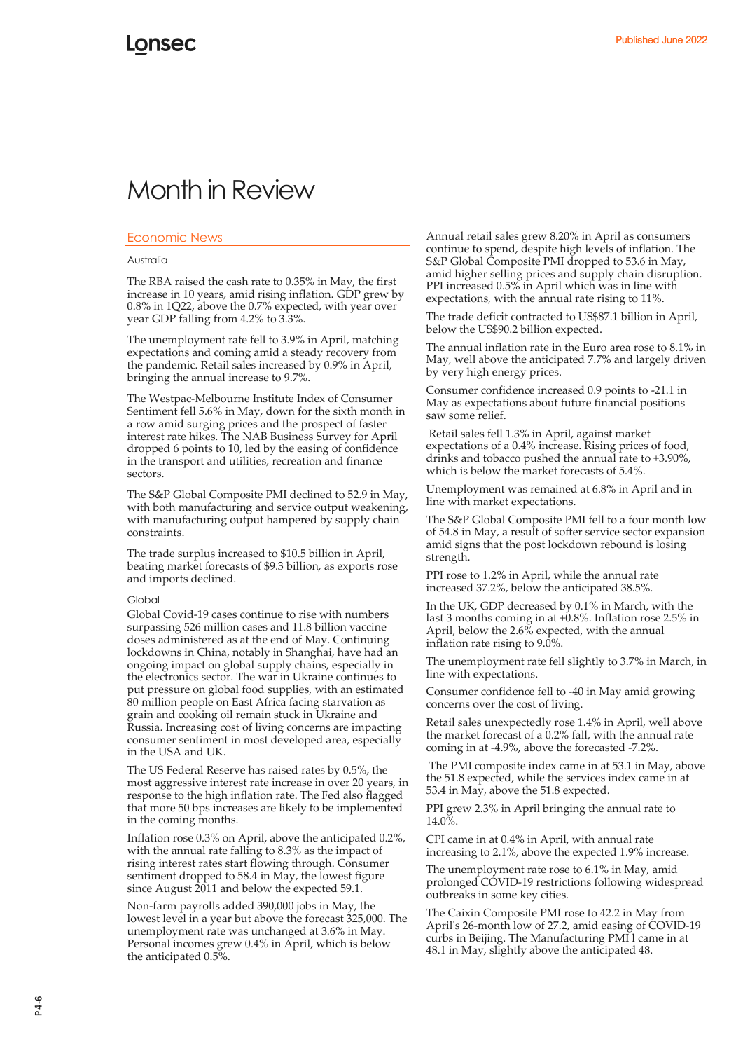## Economic News

### Australia

The RBA raised the cash rate to 0.35% in May, the first increase in 10 years, amid rising inflation. GDP grew by 0.8% in 1Q22, above the 0.7% expected, with year over year GDP falling from 4.2% to 3.3%.

The unemployment rate fell to 3.9% in April, matching expectations and coming amid a steady recovery from the pandemic. Retail sales increased by 0.9% in April, bringing the annual increase to 9.7%.

The Westpac-Melbourne Institute Index of Consumer Sentiment fell 5.6% in May, down for the sixth month in a row amid surging prices and the prospect of faster interest rate hikes. The NAB Business Survey for April dropped 6 points to 10, led by the easing of confidence in the transport and utilities, recreation and finance sectors.

The S&P Global Composite PMI declined to 52.9 in May, with both manufacturing and service output weakening, with manufacturing output hampered by supply chain constraints.

The trade surplus increased to \$10.5 billion in April, beating market forecasts of \$9.3 billion, as exports rose and imports declined.

#### Global

Global Covid-19 cases continue to rise with numbers surpassing 526 million cases and 11.8 billion vaccine doses administered as at the end of May. Continuing lockdowns in China, notably in Shanghai, have had an ongoing impact on global supply chains, especially in the electronics sector. The war in Ukraine continues to put pressure on global food supplies, with an estimated 80 million people on East Africa facing starvation as grain and cooking oil remain stuck in Ukraine and Russia. Increasing cost of living concerns are impacting consumer sentiment in most developed area, especially in the USA and UK.

The US Federal Reserve has raised rates by 0.5%, the most aggressive interest rate increase in over 20 years, in response to the high inflation rate. The Fed also flagged that more 50 bps increases are likely to be implemented in the coming months.

Inflation rose 0.3% on April, above the anticipated 0.2%, with the annual rate falling to 8.3% as the impact of rising interest rates start flowing through. Consumer sentiment dropped to 58.4 in May, the lowest figure since August 2011 and below the expected 59.1.

Non-farm payrolls added 390,000 jobs in May, the lowest level in a year but above the forecast 325,000. The unemployment rate was unchanged at 3.6% in May. Personal incomes grew 0.4% in April, which is below the anticipated 0.5%.

Annual retail sales grew 8.20% in April as consumers continue to spend, despite high levels of inflation. The S&P Global Composite PMI dropped to 53.6 in May, amid higher selling prices and supply chain disruption. PPI increased 0.5% in April which was in line with expectations, with the annual rate rising to 11%.

The trade deficit contracted to US\$87.1 billion in April, below the US\$90.2 billion expected.

The annual inflation rate in the Euro area rose to 8.1% in May, well above the anticipated 7.7% and largely driven by very high energy prices.

Consumer confidence increased 0.9 points to -21.1 in May as expectations about future financial positions saw some relief.

Retail sales fell 1.3% in April, against market expectations of a 0.4% increase. Rising prices of food, drinks and tobacco pushed the annual rate to +3.90%, which is below the market forecasts of 5.4%.

Unemployment was remained at 6.8% in April and in line with market expectations.

The S&P Global Composite PMI fell to a four month low of 54.8 in May, a result of softer service sector expansion amid signs that the post lockdown rebound is losing strength.

PPI rose to 1.2% in April, while the annual rate increased 37.2%, below the anticipated 38.5%.

In the UK, GDP decreased by 0.1% in March, with the last 3 months coming in at +0.8%. Inflation rose 2.5% in April, below the 2.6% expected, with the annual inflation rate rising to 9.0%.

The unemployment rate fell slightly to 3.7% in March, in line with expectations.

Consumer confidence fell to -40 in May amid growing concerns over the cost of living.

Retail sales unexpectedly rose 1.4% in April, well above the market forecast of a 0.2% fall, with the annual rate coming in at -4.9%, above the forecasted -7.2%.

The PMI composite index came in at 53.1 in May, above the 51.8 expected, while the services index came in at 53.4 in May, above the 51.8 expected.

PPI grew 2.3% in April bringing the annual rate to 14.0%.

CPI came in at 0.4% in April, with annual rate increasing to 2.1%, above the expected 1.9% increase.

The unemployment rate rose to 6.1% in May, amid prolonged COVID-19 restrictions following widespread outbreaks in some key cities.

The Caixin Composite PMI rose to 42.2 in May from April's 26-month low of 27.2, amid easing of COVID-19 curbs in Beijing. The Manufacturing PMI l came in at 48.1 in May, slightly above the anticipated 48.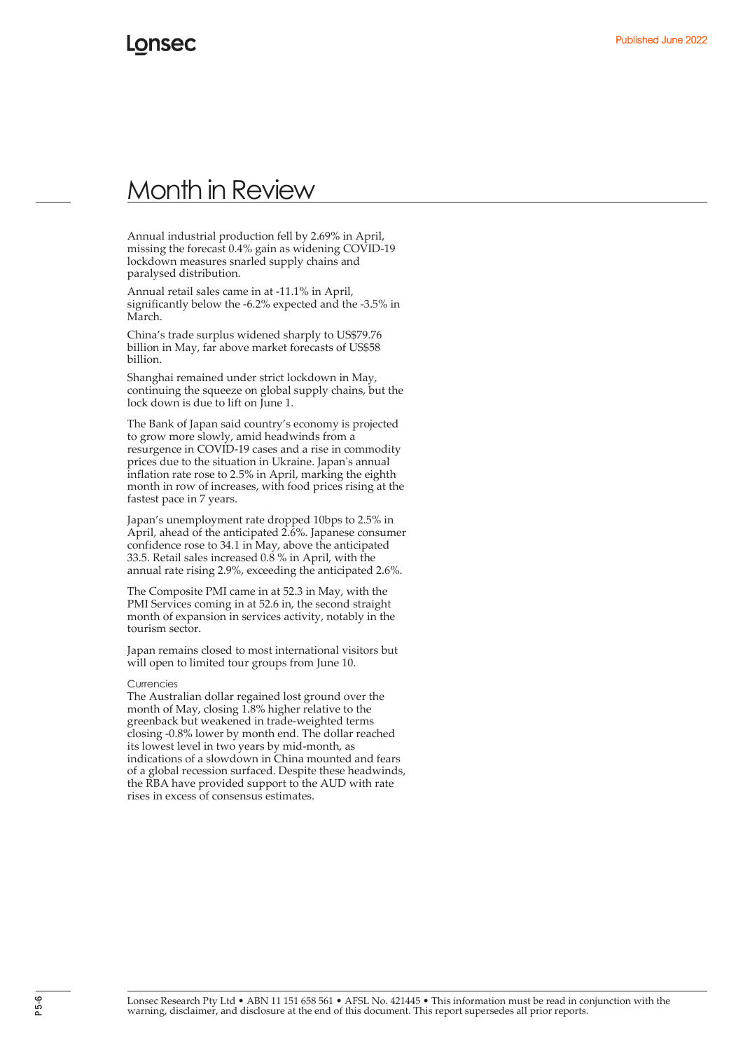Annual industrial production fell by 2.69% in April, missing the forecast 0.4% gain as widening COVID-19 lockdown measures snarled supply chains and paralysed distribution.

Annual retail sales came in at -11.1% in April, significantly below the -6.2% expected and the -3.5% in March.

China's trade surplus widened sharply to US\$79.76 billion in May, far above market forecasts of US\$58 billion.

Shanghai remained under strict lockdown in May, continuing the squeeze on global supply chains, but the lock down is due to lift on June 1.

The Bank of Japan said country's economy is projected to grow more slowly, amid headwinds from a resurgence in COVID-19 cases and a rise in commodity prices due to the situation in Ukraine. Japan's annual inflation rate rose to 2.5% in April, marking the eighth month in row of increases, with food prices rising at the fastest pace in 7 years.

Japan's unemployment rate dropped 10bps to 2.5% in April, ahead of the anticipated 2.6%. Japanese consumer confidence rose to 34.1 in May, above the anticipated 33.5. Retail sales increased 0.8 % in April, with the annual rate rising 2.9%, exceeding the anticipated 2.6%.

The Composite PMI came in at 52.3 in May, with the PMI Services coming in at 52.6 in, the second straight month of expansion in services activity, notably in the tourism sector.

Japan remains closed to most international visitors but will open to limited tour groups from June 10.

#### **Currencies**

The Australian dollar regained lost ground over the month of May, closing 1.8% higher relative to the greenback but weakened in trade-weighted terms closing -0.8% lower by month end. The dollar reached its lowest level in two years by mid-month, as indications of a slowdown in China mounted and fears of a global recession surfaced. Despite these headwinds, the RBA have provided support to the AUD with rate rises in excess of consensus estimates.